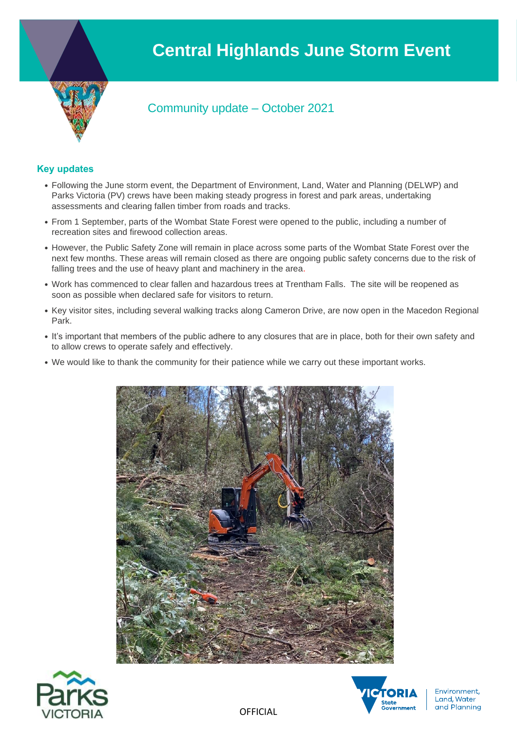# **Central Highlands June Storm Event**



# Community update – October 2021

# **Key updates**

- Following the June storm event, the Department of Environment, Land, Water and Planning (DELWP) and Parks Victoria (PV) crews have been making steady progress in forest and park areas, undertaking assessments and clearing fallen timber from roads and tracks.
- From 1 September, parts of the Wombat State Forest were opened to the public, including a number of recreation sites and firewood collection areas.
- However, the Public Safety Zone will remain in place across some parts of the Wombat State Forest over the next few months. These areas will remain closed as there are ongoing public safety concerns due to the risk of falling trees and the use of heavy plant and machinery in the area.
- Work has commenced to clear fallen and hazardous trees at Trentham Falls. The site will be reopened as soon as possible when declared safe for visitors to return.
- Key visitor sites, including several walking tracks along Cameron Drive, are now open in the Macedon Regional Park.
- It's important that members of the public adhere to any closures that are in place, both for their own safety and to allow crews to operate safely and effectively.
- We would like to thank the community for their patience while we carry out these important works.







**OFFICIAL**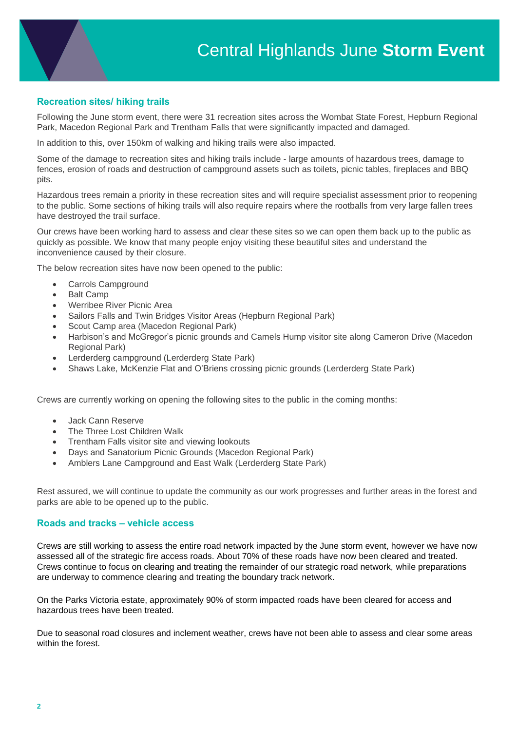# **Recreation sites/ hiking trails**

Following the June storm event, there were 31 recreation sites across the Wombat State Forest, Hepburn Regional Park, Macedon Regional Park and Trentham Falls that were significantly impacted and damaged.

In addition to this, over 150km of walking and hiking trails were also impacted.

Some of the damage to recreation sites and hiking trails include - large amounts of hazardous trees, damage to fences, erosion of roads and destruction of campground assets such as toilets, picnic tables, fireplaces and BBQ pits.

Hazardous trees remain a priority in these recreation sites and will require specialist assessment prior to reopening to the public. Some sections of hiking trails will also require repairs where the rootballs from very large fallen trees have destroyed the trail surface.

Our crews have been working hard to assess and clear these sites so we can open them back up to the public as quickly as possible. We know that many people enjoy visiting these beautiful sites and understand the inconvenience caused by their closure.

The below recreation sites have now been opened to the public:

- Carrols Campground
- **Balt Camp**
- Werribee River Picnic Area
- Sailors Falls and Twin Bridges Visitor Areas (Hepburn Regional Park)
- Scout Camp area (Macedon Regional Park)
- Harbison's and McGregor's picnic grounds and Camels Hump visitor site along Cameron Drive (Macedon Regional Park)
- Lerderderg campground (Lerderderg State Park)
- Shaws Lake, McKenzie Flat and O'Briens crossing picnic grounds (Lerderderg State Park)

Crews are currently working on opening the following sites to the public in the coming months:

- Jack Cann Reserve
- The Three Lost Children Walk
- Trentham Falls visitor site and viewing lookouts
- Days and Sanatorium Picnic Grounds (Macedon Regional Park)
- Amblers Lane Campground and East Walk (Lerderderg State Park)

Rest assured, we will continue to update the community as our work progresses and further areas in the forest and parks are able to be opened up to the public.

#### **Roads and tracks – vehicle access**

Crews are still working to assess the entire road network impacted by the June storm event, however we have now assessed all of the strategic fire access roads. About 70% of these roads have now been cleared and treated. Crews continue to focus on clearing and treating the remainder of our strategic road network, while preparations are underway to commence clearing and treating the boundary track network.

On the Parks Victoria estate, approximately 90% of storm impacted roads have been cleared for access and hazardous trees have been treated.

Due to seasonal road closures and inclement weather, crews have not been able to assess and clear some areas within the forest.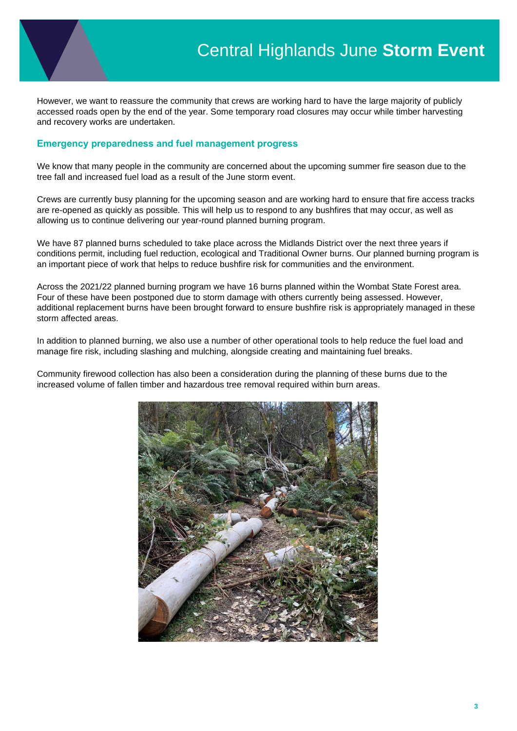However, we want to reassure the community that crews are working hard to have the large majority of publicly accessed roads open by the end of the year. Some temporary road closures may occur while timber harvesting and recovery works are undertaken.

### **Emergency preparedness and fuel management progress**

We know that many people in the community are concerned about the upcoming summer fire season due to the tree fall and increased fuel load as a result of the June storm event.

Crews are currently busy planning for the upcoming season and are working hard to ensure that fire access tracks are re-opened as quickly as possible. This will help us to respond to any bushfires that may occur, as well as allowing us to continue delivering our year-round planned burning program.

We have 87 planned burns scheduled to take place across the Midlands District over the next three years if conditions permit, including fuel reduction, ecological and Traditional Owner burns. Our planned burning program is an important piece of work that helps to reduce bushfire risk for communities and the environment.

Across the 2021/22 planned burning program we have 16 burns planned within the Wombat State Forest area. Four of these have been postponed due to storm damage with others currently being assessed. However, additional replacement burns have been brought forward to ensure bushfire risk is appropriately managed in these storm affected areas.

In addition to planned burning, we also use a number of other operational tools to help reduce the fuel load and manage fire risk, including slashing and mulching, alongside creating and maintaining fuel breaks.

Community firewood collection has also been a consideration during the planning of these burns due to the increased volume of fallen timber and hazardous tree removal required within burn areas.

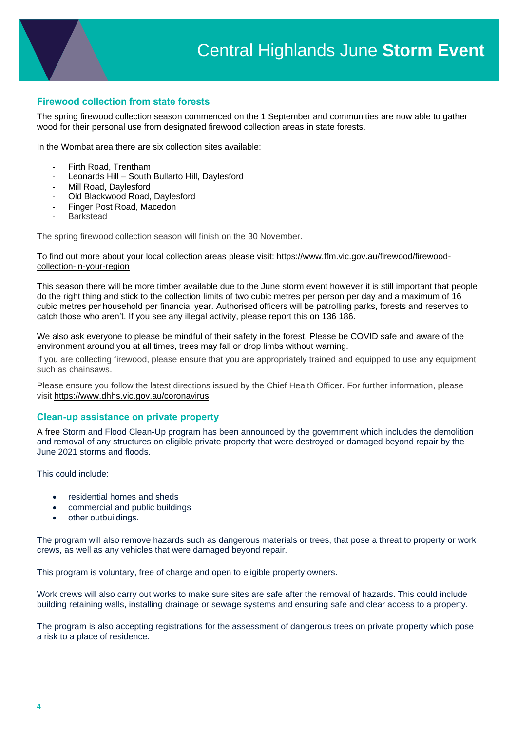# **Firewood collection from state forests**

The spring firewood collection season commenced on the 1 September and communities are now able to gather wood for their personal use from designated firewood collection areas in state forests.

In the Wombat area there are six collection sites available:

- Firth Road, Trentham
- Leonards Hill South Bullarto Hill, Daylesford
- Mill Road, Daylesford
- Old Blackwood Road, Daylesford
- Finger Post Road, Macedon
- Barkstead

The spring firewood collection season will finish on the 30 November.

To find out more about your local collection areas please visit: [https://www.ffm.vic.gov.au/firewood/firewood](https://www.ffm.vic.gov.au/firewood/firewood-collection-in-your-region)[collection-in-your-region](https://www.ffm.vic.gov.au/firewood/firewood-collection-in-your-region)

This season there will be more timber available due to the June storm event however it is still important that people do the right thing and stick to the collection limits of two cubic metres per person per day and a maximum of 16 cubic metres per household per financial year. Authorised officers will be patrolling parks, forests and reserves to catch those who aren't. If you see any illegal activity, please report this on 136 186.

We also ask everyone to please be mindful of their safety in the forest. Please be COVID safe and aware of the environment around you at all times, trees may fall or drop limbs without warning.

If you are collecting firewood, please ensure that you are appropriately trained and equipped to use any equipment such as chainsaws.

Please ensure you follow the latest directions issued by the Chief Health Officer. For further information, please visit<https://www.dhhs.vic.gov.au/coronavirus>

#### **Clean-up assistance on private property**

A free Storm and Flood Clean-Up program has been announced by the government which includes the demolition and removal of any structures on eligible private property that were destroyed or damaged beyond repair by the June 2021 storms and floods.

This could include:

- residential homes and sheds
- commercial and public buildings
- other outbuildings.

The program will also remove hazards such as dangerous materials or trees, that pose a threat to property or work crews, as well as any vehicles that were damaged beyond repair.

This program is voluntary, free of charge and open to eligible property owners.

Work crews will also carry out works to make sure sites are safe after the removal of hazards. This could include building retaining walls, installing drainage or sewage systems and ensuring safe and clear access to a property.

The program is also accepting registrations for the assessment of dangerous trees on private property which pose a risk to a place of residence.